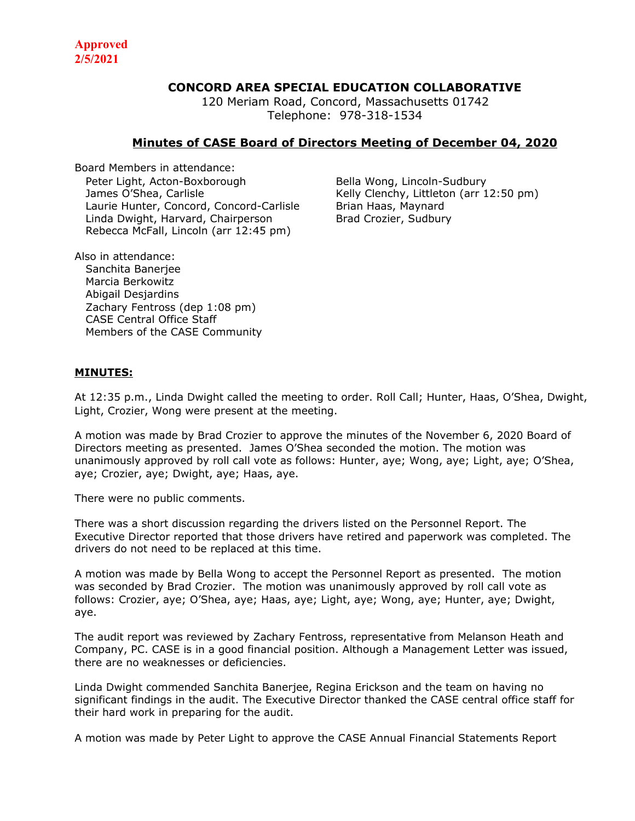## **CONCORD AREA SPECIAL EDUCATION COLLABORATIVE**

120 Meriam Road, Concord, Massachusetts 01742 Telephone: 978-318-1534

## **Minutes of CASE Board of Directors Meeting of December 04, 2020**

Board Members in attendance: Peter Light, Acton-Boxborough Bella Wong, Lincoln-Sudbury James O'Shea, Carlisle **Kelly Clenchy, Littleton (arr 12:50 pm)** Laurie Hunter, Concord, Concord-Carlisle Brian Haas, Maynard Linda Dwight, Harvard, Chairperson Brad Crozier, Sudbury Rebecca McFall, Lincoln (arr 12:45 pm)

Also in attendance: Sanchita Banerjee Marcia Berkowitz Abigail Desjardins Zachary Fentross (dep 1:08 pm) CASE Central Office Staff Members of the CASE Community

## **MINUTES:**

At 12:35 p.m., Linda Dwight called the meeting to order. Roll Call; Hunter, Haas, O'Shea, Dwight, Light, Crozier, Wong were present at the meeting.

A motion was made by Brad Crozier to approve the minutes of the November 6, 2020 Board of Directors meeting as presented. James O'Shea seconded the motion. The motion was unanimously approved by roll call vote as follows: Hunter, aye; Wong, aye; Light, aye; O'Shea, aye; Crozier, aye; Dwight, aye; Haas, aye.

There were no public comments.

There was a short discussion regarding the drivers listed on the Personnel Report. The Executive Director reported that those drivers have retired and paperwork was completed. The drivers do not need to be replaced at this time.

A motion was made by Bella Wong to accept the Personnel Report as presented. The motion was seconded by Brad Crozier. The motion was unanimously approved by roll call vote as follows: Crozier, aye; O'Shea, aye; Haas, aye; Light, aye; Wong, aye; Hunter, aye; Dwight, aye.

The audit report was reviewed by Zachary Fentross, representative from Melanson Heath and Company, PC. CASE is in a good financial position. Although a Management Letter was issued, there are no weaknesses or deficiencies.

Linda Dwight commended Sanchita Banerjee, Regina Erickson and the team on having no significant findings in the audit. The Executive Director thanked the CASE central office staff for their hard work in preparing for the audit.

A motion was made by Peter Light to approve the CASE Annual Financial Statements Report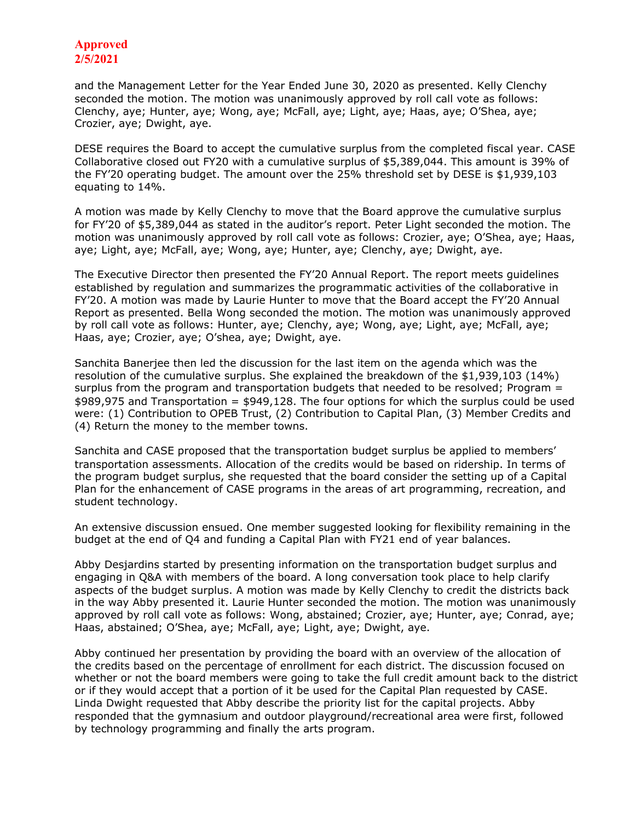## **Approved 2/5/2021**

and the Management Letter for the Year Ended June 30, 2020 as presented. Kelly Clenchy seconded the motion. The motion was unanimously approved by roll call vote as follows: Clenchy, aye; Hunter, aye; Wong, aye; McFall, aye; Light, aye; Haas, aye; O'Shea, aye; Crozier, aye; Dwight, aye.

DESE requires the Board to accept the cumulative surplus from the completed fiscal year. CASE Collaborative closed out FY20 with a cumulative surplus of \$5,389,044. This amount is 39% of the FY'20 operating budget. The amount over the 25% threshold set by DESE is \$1,939,103 equating to 14%.

A motion was made by Kelly Clenchy to move that the Board approve the cumulative surplus for FY'20 of \$5,389,044 as stated in the auditor's report. Peter Light seconded the motion. The motion was unanimously approved by roll call vote as follows: Crozier, aye; O'Shea, aye; Haas, aye; Light, aye; McFall, aye; Wong, aye; Hunter, aye; Clenchy, aye; Dwight, aye.

The Executive Director then presented the FY'20 Annual Report. The report meets guidelines established by regulation and summarizes the programmatic activities of the collaborative in FY'20. A motion was made by Laurie Hunter to move that the Board accept the FY'20 Annual Report as presented. Bella Wong seconded the motion. The motion was unanimously approved by roll call vote as follows: Hunter, aye; Clenchy, aye; Wong, aye; Light, aye; McFall, aye; Haas, aye; Crozier, aye; O'shea, aye; Dwight, aye.

Sanchita Banerjee then led the discussion for the last item on the agenda which was the resolution of the cumulative surplus. She explained the breakdown of the \$1,939,103 (14%) surplus from the program and transportation budgets that needed to be resolved; Program = \$989,975 and Transportation = \$949,128. The four options for which the surplus could be used were: (1) Contribution to OPEB Trust, (2) Contribution to Capital Plan, (3) Member Credits and (4) Return the money to the member towns.

Sanchita and CASE proposed that the transportation budget surplus be applied to members' transportation assessments. Allocation of the credits would be based on ridership. In terms of the program budget surplus, she requested that the board consider the setting up of a Capital Plan for the enhancement of CASE programs in the areas of art programming, recreation, and student technology.

An extensive discussion ensued. One member suggested looking for flexibility remaining in the budget at the end of Q4 and funding a Capital Plan with FY21 end of year balances.

Abby Desjardins started by presenting information on the transportation budget surplus and engaging in Q&A with members of the board. A long conversation took place to help clarify aspects of the budget surplus. A motion was made by Kelly Clenchy to credit the districts back in the way Abby presented it. Laurie Hunter seconded the motion. The motion was unanimously approved by roll call vote as follows: Wong, abstained; Crozier, aye; Hunter, aye; Conrad, aye; Haas, abstained; O'Shea, aye; McFall, aye; Light, aye; Dwight, aye.

Abby continued her presentation by providing the board with an overview of the allocation of the credits based on the percentage of enrollment for each district. The discussion focused on whether or not the board members were going to take the full credit amount back to the district or if they would accept that a portion of it be used for the Capital Plan requested by CASE. Linda Dwight requested that Abby describe the priority list for the capital projects. Abby responded that the gymnasium and outdoor playground/recreational area were first, followed by technology programming and finally the arts program.